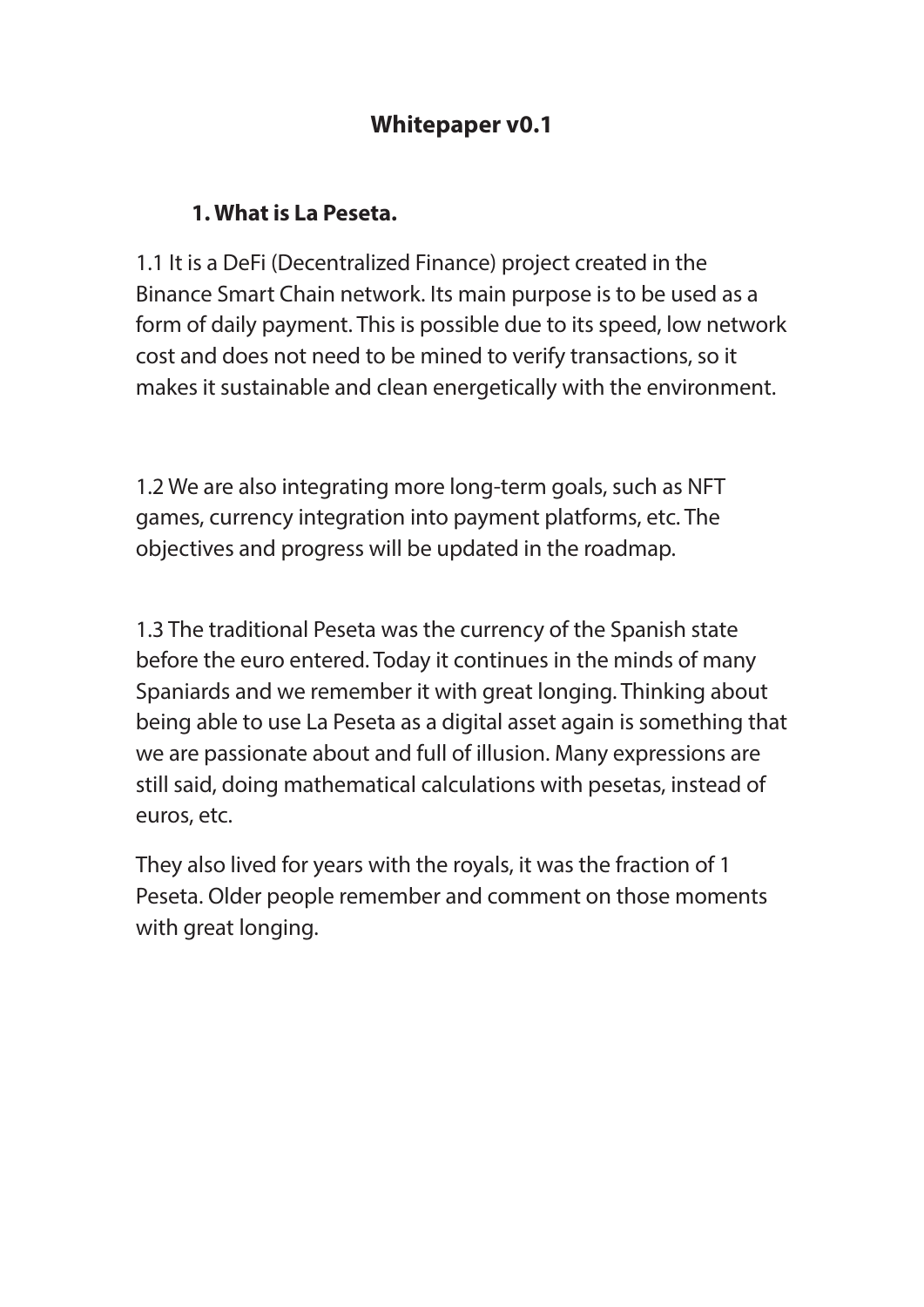# **Whitepaper v0.1**

#### **1. What is La Peseta.**

1.1 It is a DeFi (Decentralized Finance) project created in the Binance Smart Chain network. Its main purpose is to be used as a form of daily payment. This is possible due to its speed, low network cost and does not need to be mined to verify transactions, so it makes it sustainable and clean energetically with the environment.

1.2 We are also integrating more long-term goals, such as NFT games, currency integration into payment platforms, etc. The objectives and progress will be updated in the roadmap.

1.3 The traditional Peseta was the currency of the Spanish state before the euro entered. Today it continues in the minds of many Spaniards and we remember it with great longing. Thinking about being able to use La Peseta as a digital asset again is something that we are passionate about and full of illusion. Many expressions are still said, doing mathematical calculations with pesetas, instead of euros, etc.

They also lived for years with the royals, it was the fraction of 1 Peseta. Older people remember and comment on those moments with great longing.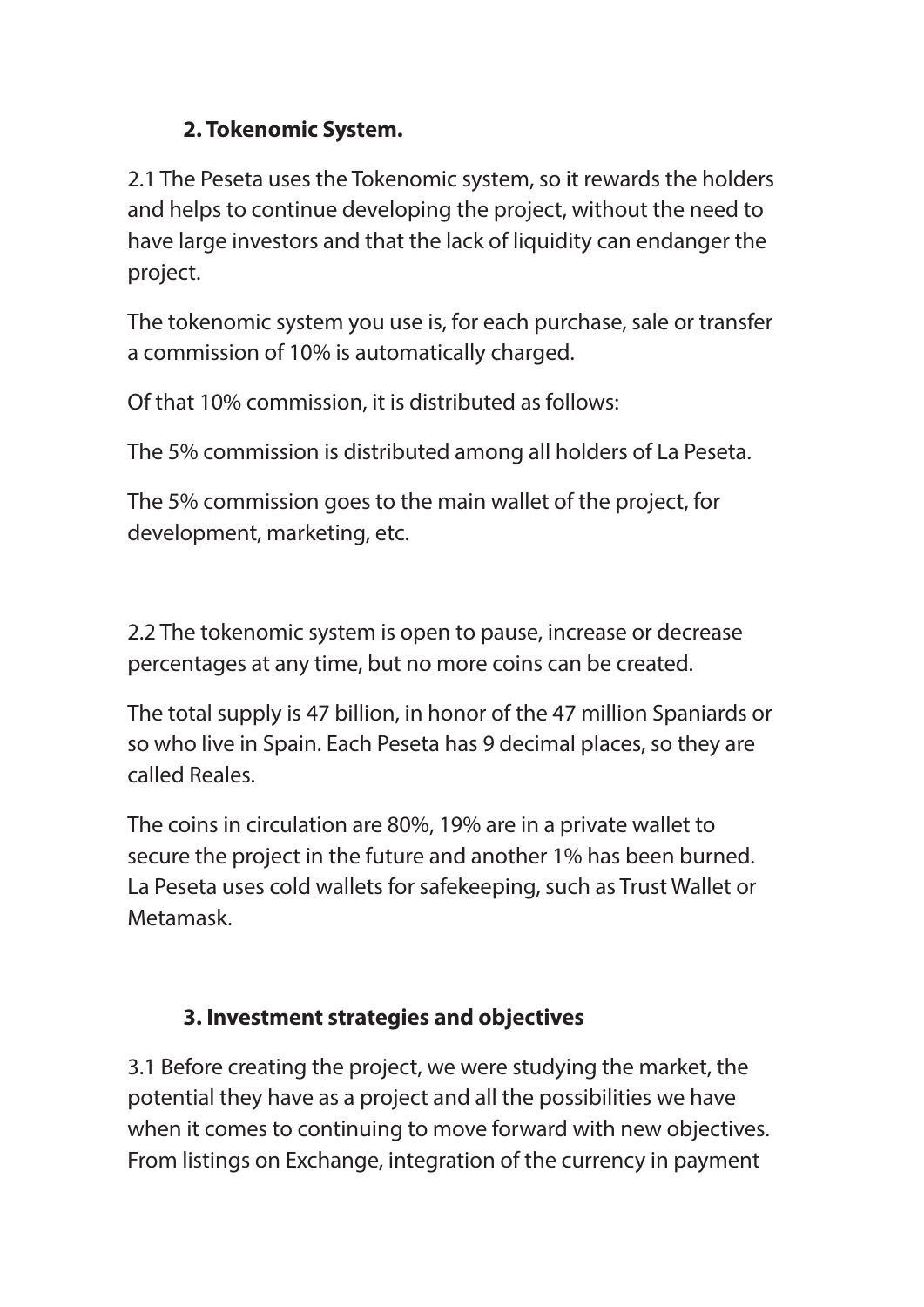## **2. Tokenomic System.**

2.1 The Peseta uses the Tokenomic system, so it rewards the holders and helps to continue developing the project, without the need to have large investors and that the lack of liquidity can endanger the project.

The tokenomic system you use is, for each purchase, sale or transfer a commission of 10% is automatically charged.

Of that 10% commission, it is distributed as follows:

The 5% commission is distributed among all holders of La Peseta.

The 5% commission goes to the main wallet of the project, for development, marketing, etc.

2.2 The tokenomic system is open to pause, increase or decrease percentages at any time, but no more coins can be created.

The total supply is 47 billion, in honor of the 47 million Spaniards or so who live in Spain. Each Peseta has 9 decimal places, so they are called Reales.

The coins in circulation are 80%, 19% are in a private wallet to secure the project in the future and another 1% has been burned. La Peseta uses cold wallets for safekeeping, such as Trust Wallet or Metamask.

## **3. Investment strategies and objectives**

3.1 Before creating the project, we were studying the market, the potential they have as a project and all the possibilities we have when it comes to continuing to move forward with new objectives. From listings on Exchange, integration of the currency in payment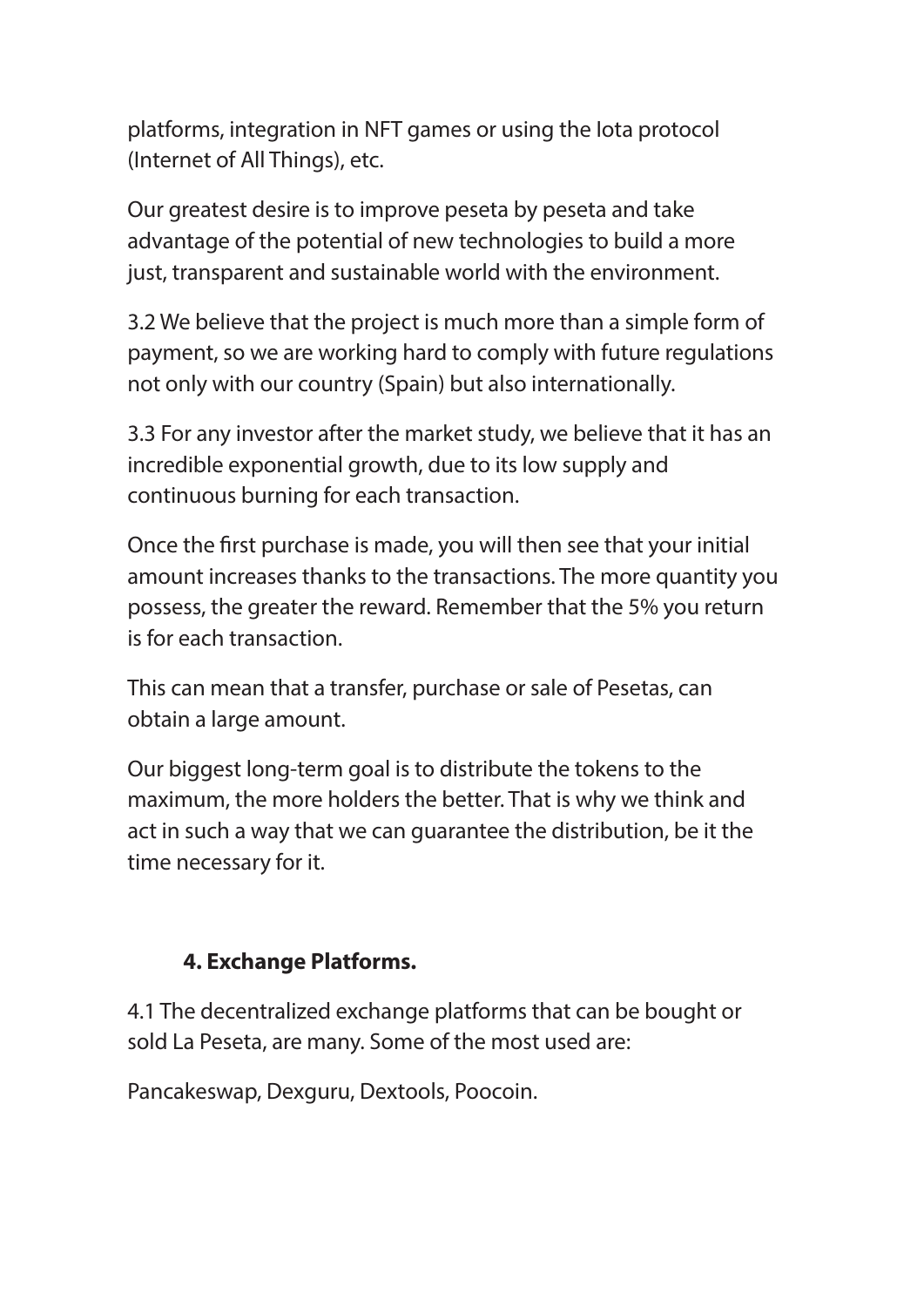platforms, integration in NFT games or using the Iota protocol (Internet of All Things), etc.

Our greatest desire is to improve peseta by peseta and take advantage of the potential of new technologies to build a more just, transparent and sustainable world with the environment.

3.2 We believe that the project is much more than a simple form of payment, so we are working hard to comply with future regulations not only with our country (Spain) but also internationally.

3.3 For any investor after the market study, we believe that it has an incredible exponential growth, due to its low supply and continuous burning for each transaction.

Once the first purchase is made, you will then see that your initial amount increases thanks to the transactions. The more quantity you possess, the greater the reward. Remember that the 5% you return is for each transaction.

This can mean that a transfer, purchase or sale of Pesetas, can obtain a large amount.

Our biggest long-term goal is to distribute the tokens to the maximum, the more holders the better. That is why we think and act in such a way that we can guarantee the distribution, be it the time necessary for it.

### **4. Exchange Platforms.**

4.1 The decentralized exchange platforms that can be bought or sold La Peseta, are many. Some of the most used are:

Pancakeswap, Dexguru, Dextools, Poocoin.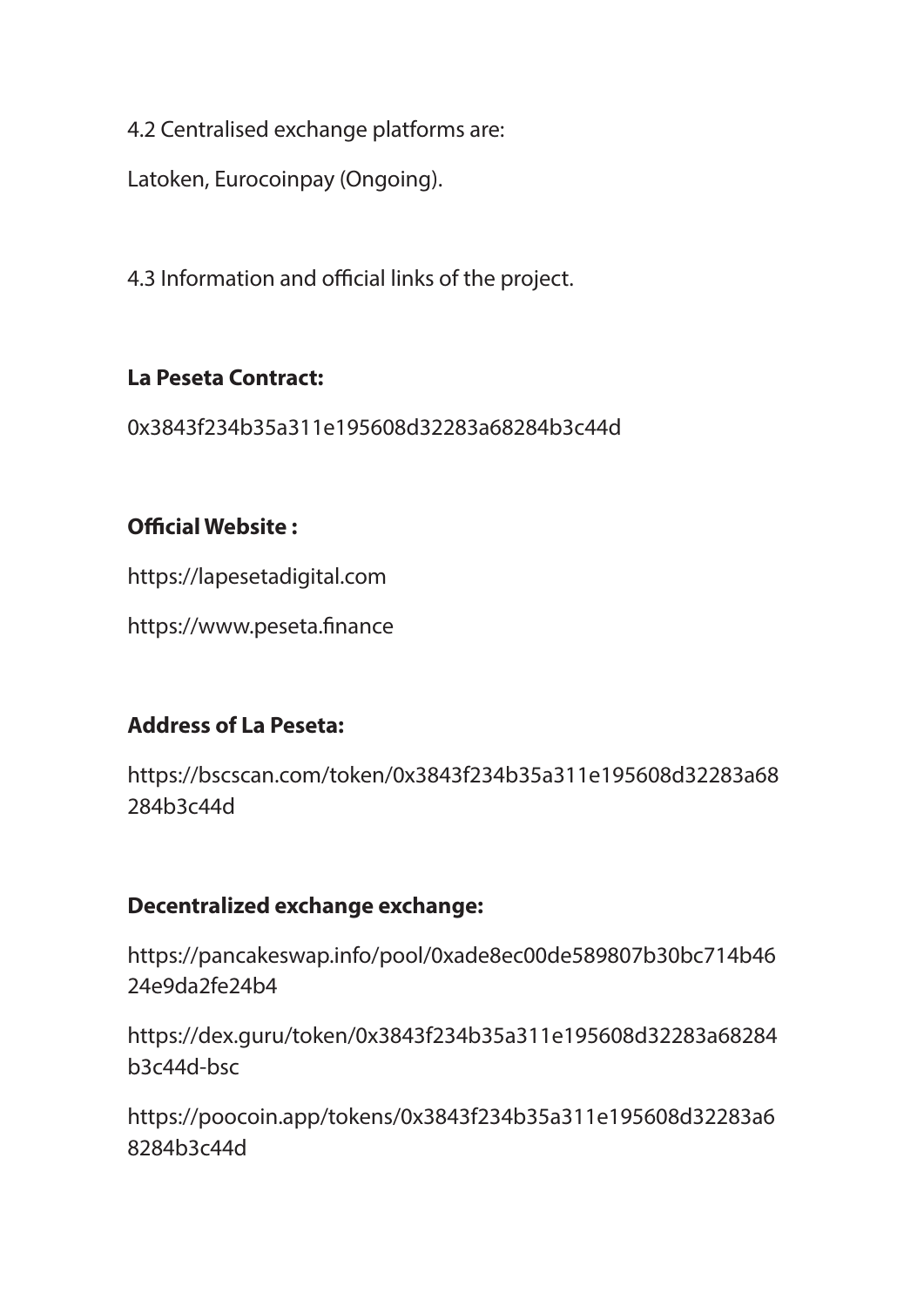4.2 Centralised exchange platforms are:

Latoken, Eurocoinpay (Ongoing).

4.3 Information and official links of the project.

### **La Peseta Contract:**

0x3843f234b35a311e195608d32283a68284b3c44d

### **Official Website:**

https://lapesetadigital.com

https://www.peseta.finance

### **Address of La Peseta:**

https://bscscan.com/token/0x3843f234b35a311e195608d32283a68 284b3c44d

### **Decentralized exchange exchange:**

https://pancakeswap.info/pool/0xade8ec00de589807b30bc714b46 24e9da2fe24b4

https://dex.guru/token/0x3843f234b35a311e195608d32283a68284 b3c44d-bsc

https://poocoin.app/tokens/0x3843f234b35a311e195608d32283a6 8284b3c44d